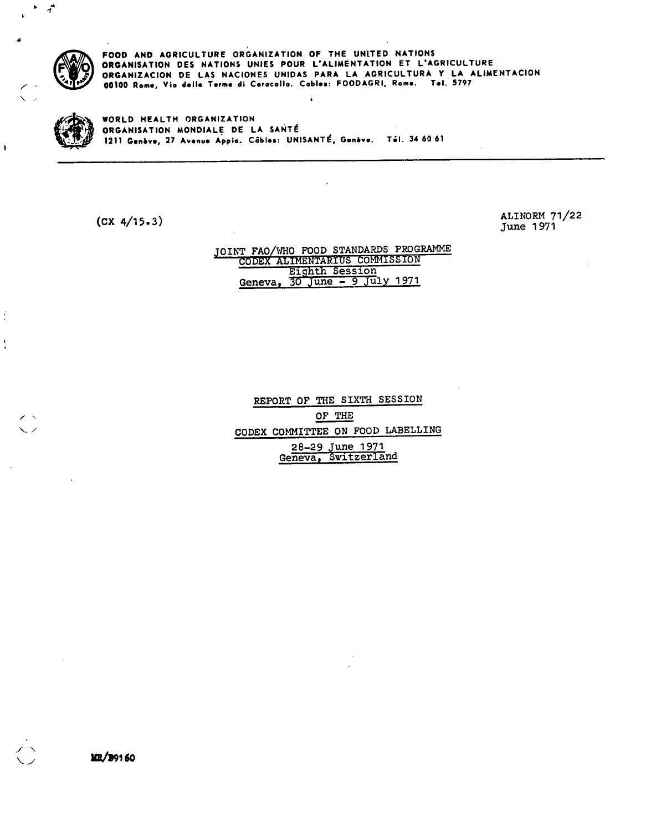

 $\left( \frac{1}{2} \right)$ 

 $\ddot{ }$ 

i

**FOOD AND AGRICULTURE ORGANIZATION OF THE UNITED NATIONS ORGANISATION DES NATIONS UNIES POUR L'ALIMENTATION ET L'AGRICULTURE ORGANIZACION DE LAS NACIONES UNIDAS PARA LA AGRICULTURA Y LA ALIMENTACION**  00100 Rome, Via delle Terme di Caracalla. Cables: FOODAGRI, Rome. Tel. 5797

**WORLD HEALTH ORGANIZATION ORGANISATION MONDIALE DE LA SANTÉ 1211 G.nbv., 27 Av•nua Appio. Cables: UNISANTÉ, Geniv•. ThI. 34 60 61** 

(CX 4/15.3)

ALINORM 71/22 June 1971

#### JOINT FAO/WHO FOOD STANDARDS PROGRAMME CODEX ALIMENTARIUS COMMISSION Eighth Session Geneva, 30 June - 9 July 1971

REPORT OF THE SIXTH SESSION OF THE CODEX COMMITTEE ON FOOD LABELLING 28-29 June 1971 Geneva, Switzerland

MR/39160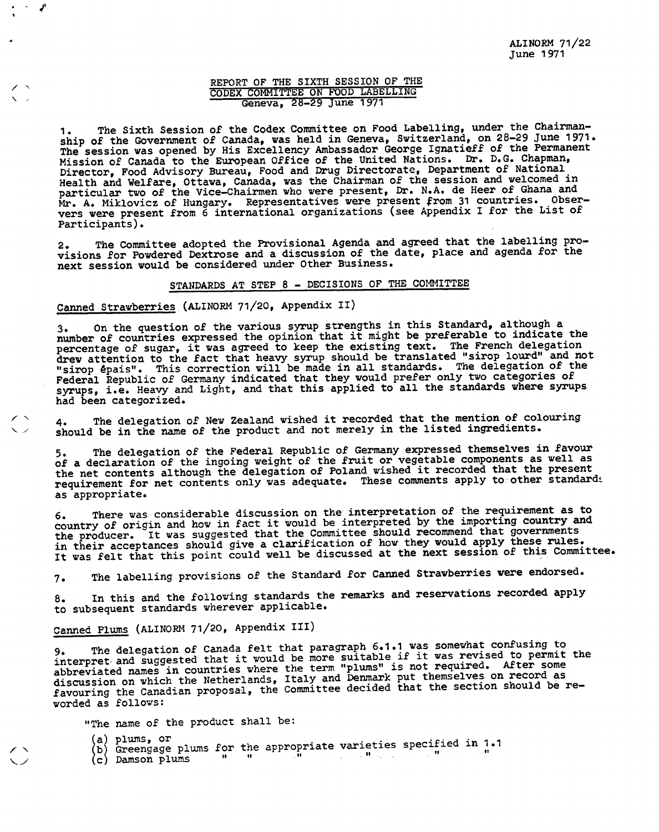### **REPORT OF THE SIXTH SESSION OF THE CODEX COMMITTEE ON FOOD LABELLING Geneva, 28-29 June 1971**

**The Sixth Session of the Codex Committee on Food Labelling, under the Chairmanship of the Government of Canada, was held in Geneva, Switzerland, on 28-29 June 1971. The session was opened by His Excellency Ambassador George Ignatieff of the Permanent Mission of Canada to the European Office of the United Nations. Dr. D.G. Chapman, Director, Food Advisory Bureau, Food and Drug Directorate, Department of National Health and Welfare, Ottawa,** Canada, was the Chairman of the session and welcomed in particular two of the Vice**-Chairmen who were present, Dr. N.A. de Heer of Ghana and Mr. A. Miklovicz of Hungary. Representatives were present from 31 countries. Observers were present from 6 international organizations (see Appendix I for the List of Participants).** 

**The Committee adopted the Provisional Agenda and agreed that the labelling pro-**2. **visions for Powdered Dextrose and a discussion of the date, place and agenda for the next session would be considered under Other Business.** 

### **STANDARDS AT STEP 8 - DECISIONS OF THE COMMITTEE**

### **Canned Strawberries (ALINORM 71/20, Appendix II)**

~

**On the question of the various syrup strengths in this Standard, although a**   $3.$ **number of countries expressed the opinion that it might be preferable to indicate the percentage of sugar, it was agreed to keep the existing text. The French delegation drew attention to the fact that heavy syrup should be translated "sirop lourd" and not "sirop épais". This correction will be made in all standards. The delegation of the Federal Republic of Germany indicated that they would prefer only two categories of syrups, i.e. Heavy and Light, and that this applied to all the standards where syrups had been categorized.** 

**The delegation of New Zealand wished it recorded that the mention of colouring**   $4.$ **should be in the name of the product and not merely in the listed ingredients.** 

**The delegation of the Federal Republic of Germany expressed themselves in favour of a declaration of the ingoing weight of the fruit or vegetable components as well as the net contents although the delegation of Poland wished it recorded that the present**  requirement for net contents only was adequate. These comments apply to other standards **as appropriate.** 

**There was considerable discussion on the interpretation of the requirement as to country of origin and how in fact it would be interpreted by the importing country and the producer. It was suggested that the Committee should recommend that governments**  in their acceptances should give a clarification of how they would apply these rules. **It was felt that this point could well be discussed at the next session of this Committee.** 

**The labelling provisions of the Standard for Canned Strawberries were endorsed.**   $7.$ 

**In this and the following standards the remarks and reservations recorded apply**  8. **to subsequent standards wherever applicable.** 

## **Canned Plums (ALINORM 71/20, Appendix III)**

**The delegation of Canada felt that paragraph 6.1.1 was somewhat confusing to**  interpret and suggested that it would be more suitable if it was revised to permit the **abbreviated names in countries where the term "plums" is not required. After some discussion on which the Netherlands, Italy and Denmark put themselves on record as favouring the Canadian proposal, the Committee decided that the section should be reworded as follows:** 

**"The name of the product shall be:** 

**/** 

- plums, or<br>Greengage plums for the appropriate varieties specified in 1.1
- **c Damson plums " "**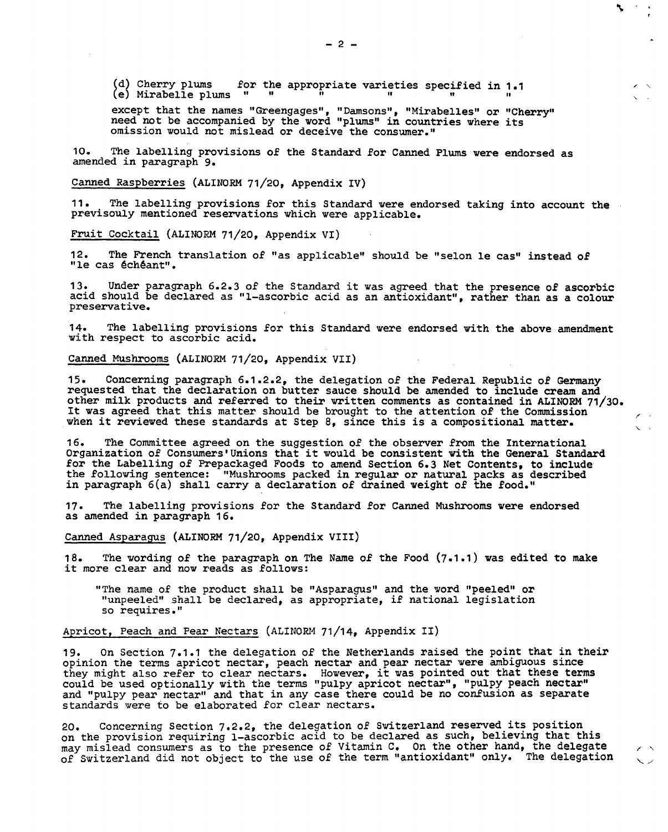(d) Cherry plums for the appropriate varieties specified in 1.1<br>(e) Mirabelle plums " " " " " " " " " " " " (e) Mirabelle plums " 11 ~~ 11 11

except that the names "Greengages", "Damsons", "Mirabelles" or "Cherry" need not be accompanied by the word "plums" in countries where its omission would not mislead or deceive the consumer."

 $10.$ The labelling provisions of the Standard for Canned Plums were endorsed as amended in paragraph 9.

Canned Raspberries (ALINORM 71/20, Appendix IV)

The labelling provisions for this Standard were endorsed taking into account the  $11.$ previsouly mentioned reservations which were applicable.

Fruit Cocktail (ALINORM 71/20, Appendix VI)

 $12.$ The French translation of "as applicable" should be "selon le cas" instead of "le cas échéant".

Under paragraph 6.2.3 of the Standard it was agreed that the presence of ascorbic acid should be declared as "1-ascorbic acid as an antioxidant", rather than as a colour preservative.

The labelling provisions for this Standard were endorsed with the above amendment  $14.$ with respect to ascorbic acid.

Canned Mushrooms (ALINORM 71/20, Appendix VII)

 $15.$ Concerning paragraph 6.1.2.2, the delegation of the Federal Republic of Germany requested that the declaration on butter sauce should be amended to include cream and other milk products and referred to their written comments as contained in ALINORM 71/30. It was agreed that this matter should be brought to the attention of the Commission when it reviewed these standards at Step 8, since this is a compositional matter.

The Committee agreed on the suggestion of the observer from the International Organization of Consumers'Unions that it would be consistent with the General Standard for the Labelling of Prepackaged Foods to amend Section 6.3 Net Contents, to include the following sentence: "Mushrooms packed in regular or natural packs as described in paragraph  $6(a)$  shall carry a declaration of drained weight of the food."

 $17.$ The labelling provisions for the Standard for Canned Mushrooms were endorsed as amended in paragraph 16.

Canned Asparagus (ALINORM 71/20, Appendix VIII)

The wording of the paragraph on The Name of the Food (7.1.1) was edited to make 18. it more clear and now reads as follows:

"The name of the product shall be "Asparagus" and the word "peeled" or "unpeeled" shall be declared, as appropriate, if national legislation so requires."

Apricot, Peach and Pear Nectars (ALINORM 71/14, Appendix II)

On Section 7.1.1 the delegation of the Netherlands raised the point that in their 19. opinion the terms apricot nectar, peach nectar and pear nectar were ambiguous since they might also refer to clear nectars. However, it was pointed out that these terms could be used optionally with the terms "pulpy apricot nectar", "pulpy peach nectar" and "pulpy pear nectar" and that in any case there could be no confusion as separate standards were to be elaborated for clear nectars.

Concerning Section 7.2.2, the delegation of Switzerland reserved its position  $20.$ on the provision requiring 1-ascorbic acid to be declared as such, believing that this may mislead consumers as to the presence of Vitamin C. On the other hand, the delegate of Switzerland did not object to the use of the term "antioxidant" only. The delegation

٦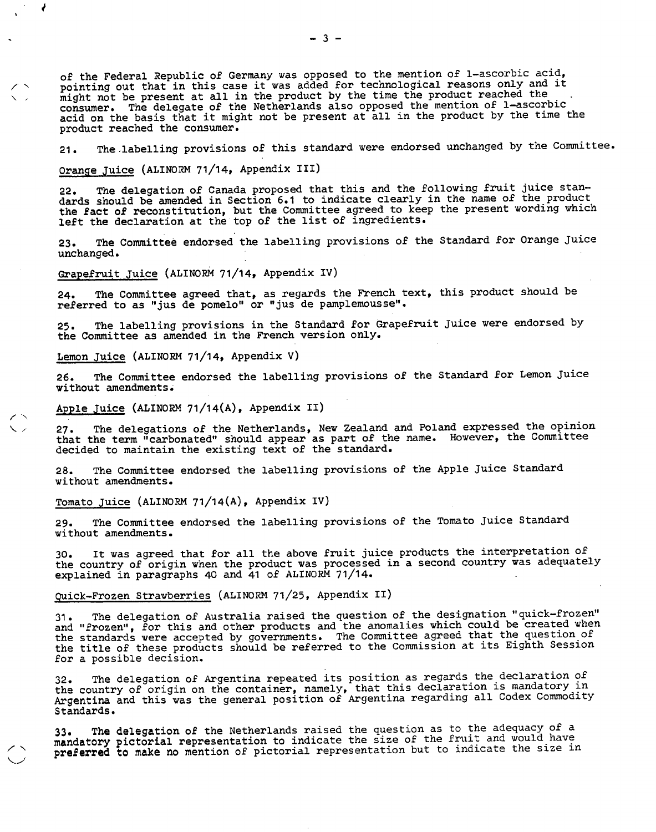of the Federal Republic of Germany was opposed to the mention of 1-ascorbic acid, pointing out that in this case it was added for technological reasons only and it might not be present at all in the product by the time the product reached the consumer. The delegate of the Netherlands also opposed the mention of 1-ascorbic acid on the basis that it might not be present at all in the product by the time the product reached the consumer.

The labelling provisions of this standard were endorsed unchanged by the Committee.  $21.$ 

Orange Juice (ALINORM 71/14, Appendix III)

The delegation of Canada proposed that this and the following fruit juice standards should be amended in Section 6.1 to indicate clearly in the name of the product the fact of reconstitution, but the Committee agreed to keep the present wording which left the declaration at the top of the list of ingredients.

The Committee endorsed the labelling provisions of the Standard for Orange Juice  $23.$ unchanged.

Grapefruit Juice (ALINORM 71/14, Appendix IV)

The Committee agreed that, as regards the French text, this product should be  $24.$ referred to as "jus de pomelo" or "jus de pamplemousse".

The labelling provisions in the Standard for Grapefruit Juice were endorsed by  $25.$ the Committee as amended in the French version only.

Lemon Juice (ALINORM 71/14, Appendix V)

The Committee endorsed the labelling provisions of the Standard for Lemon Juice  $26.$ without amendments.

Apple Juice (ALINORM 71/14(A), Appendix II)

The delegations of the Netherlands, New Zealand and Poland expressed the opinion  $27.$ that the term "carbonated" should appear as part of the name. However, the Committee decided to maintain the existing text of the standard.

The Committee endorsed the labelling provisions of the Apple Juice Standard  $28.$ without amendments.

Tomato Juice (ALINORM 71/14(A), Appendix IV)

The Committee endorsed the labelling provisions of the Tomato Juice Standard  $29.$ without amendments.

It was agreed that for all the above fruit juice products the interpretation of the country of origin when the product was processed in a second country was adequately explained in paragraphs 40 and 41 of ALINORM 71/14.

Quick-Frozen Strawberries (ALINORM 71/25, Appendix II)

The delegation of Australia raised the question of the designation "quick-frozen"  $31.$ and "frozen", for this and other products and the anomalies which could be created when the standards were accepted by governments. The Committee agreed that the question of the title of these products should be referred to the Commission at its Eighth Session for a possible decision.

The delegation of Argentina repeated its position as regards the declaration of  $32$ the country of origin on the container, namely, that this declaration is mandatory in Argentina and this was the general position of Argentina regarding all Codex Commodity Standards.

The delegation of the Netherlands raised the question as to the adequacy of a  $33$ **mandatory pictorial** representation to indicate the size of the fruit and would have **preferred to make no** mention of pictorial representation but to indicate the size in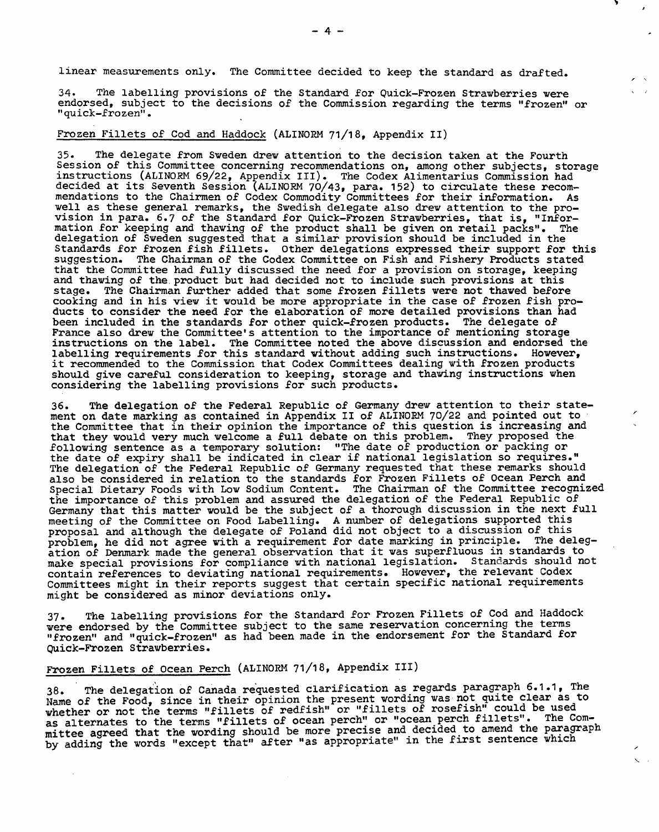linear measurements only. The Committee decided to keep the standard as drafted.

The labelling provisions of the Standard for Quick-Frozen Strawberries were 34. endorsed, subject to the decisions of the Commission regarding the terms "frozen" or "quick-frozen".

Frozen Fillets of Cod and Haddock (ALINORM 71/18, Appendix II)

 $35.$ The delegate from Sweden drew attention to the decision taken at the Fourth Session of this Committee concerning recommendations on, among other subjects, storage instructions (ALINORM 69/22, Appendix III). The Codex Alimentarius Commission had decided at its Seventh Session (ALINORM 70/43, para. 152) to circulate these recommendations to the Chairmen of Codex Commodity Committees for their information. As well as these general remarks, the Swedish delegate also drew attention to the provision in para. 6.7 of the Standard for Quick-Frozen Strawberries, that is, "Information for keeping and thawing of the product shall be given on retail packs". The delegation of Sweden suggested that a similar provision should be included in the Standards for frozen fish fillets. Other delegations expressed their support for this suggestion. The Chairman of the Codex Committee on Fish and Fishery Products stated that the Committee had fully discussed the need for a provision on storage, keeping and thawing of the product but had decided not to include such provisions at this stage. The Chairman further added that some frozen fillets were not thawed before cooking and in his view it would be more appropriate in the case of frozen fish products to consider the need for the elaboration of more detailed provisions than had been included in the standards for other quick-frozen products. The delegate of France also drew the Committee's attention to the importance of mentioning storage instructions on the label. The Committee noted the above discussion and endorsed the labelling requirements for this standard without adding such instructions. However, it recommended to the Commission that Codex Committees dealing with frozen products should give careful consideration to keeping, storage and thawing instructions when considering the labelling provisions for such products.

The delegation of the Federal Republic of Germany drew attention to their state- $36.$ ment on date marking as contained in Appendix II of ALINORM 70/22 and pointed out to the Committee that in their opinion the importance of this question is increasing and that they would very much welcome a full debate on this problem. They proposed the following sentence as a temporary solution: "The date of production or packing or the date of expiry shall be indicated in clear if national legislation so requires." The delegation of the Federal Republic of Germany requested that these remarks should also be considered in relation to the standards for Frozen Fillets of Ocean Perch and Special Dietary Foods with Low Sodium Content. The Chairman of the Committee recognized the importance of this problem and assured the delegation of the Federal Republic of Germany that this matter would be the subject of a thorough discussion in the next full meeting of the Committee on Food Labelling. A number of delegations supported this proposal and although the delegate of Poland did not object to a discussion of this problem, he did not agree with a requirement for date marking in principle. The delegation of Denmark made the general observation that it was superfluous in standards to make special provisions for compliance with national legislation. Standards should not contain references to deviating national requirements. However, the relevant Codex Committees might in their reports suggest that certain specific national requirements might be considered as minor deviations only.

The labelling provisions for the Standard for Frozen Fillets of Cod and Haddock  $37$ were endorsed by the Committee subject to the same reservation concerning the terms "frozen" and "quick-frozen" as had been made in the endorsement for the Standard for Quick-Frozen Strawberries.

### Frozen Fillets of Ocean Perch (ALINORM 71/18, Appendix III)

The delegation of Canada requested clarification as regards paragraph 6.1.1, The  $38.$ Name of the Food, since in their opinion the present wording was not quite clear as to whether or not the terms "fillets of redfish" or "fillets of rosefish" could be used as alternates to the terms "fillets of ocean perch" or "ocean perch fillets". The Committee agreed that the wording should be more precise and decided to amend the paragraph by adding the words "except that" after "as appropriate" in the first sentence which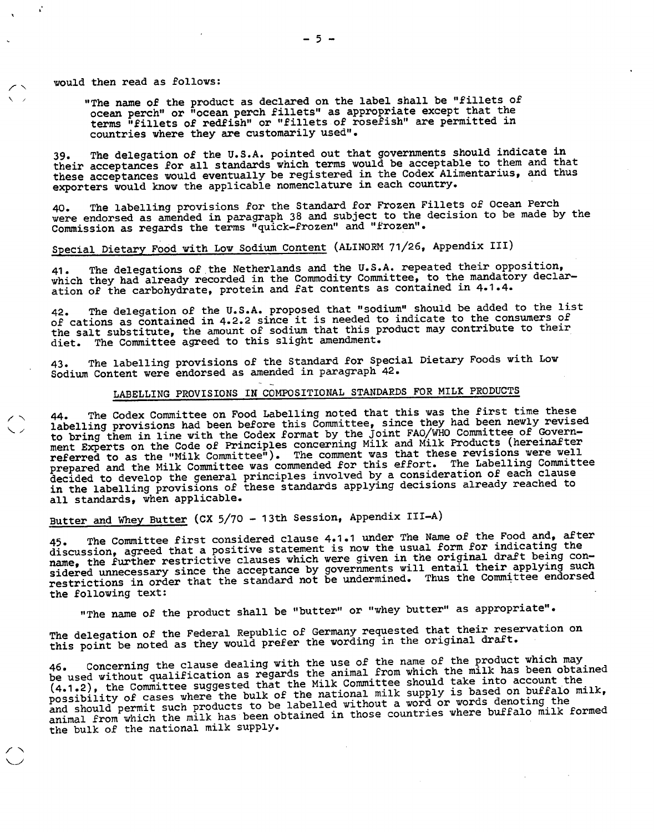would then read as follows:

"The name of the product as declared on the label shall be "fillets of ocean perch" or "ocean perch fillets" as appropriate except that the terms "fillets of redfish" or "fillets of rosefish" are permitted in countries where they are customarily used".

The delegation of the U.S.A. pointed out that governments should indicate in 39. The delegation of the U.S.A. pointed out that governments should indicate in<br>their acceptances for all standards which terms would be acceptable to them and that these acceptances would eventually be registered in the Codex Alimentarius, and thus exporters would know the applicable nomenclature in each country.

The labelling provisions for the Standard for Frozen Fillets of Ocean Perch were endorsed as amended in paragraph 38 and subject to the decision to be made by the Commission as regards the terms "quick-frozen" and "frozen".

# Special Dietary Food with Low Sodium Content (ALINORM 71/26, Appendix III)

The delegations of the Netherlands and the U.S.A. repeated their opposition, 41. The delegations of the Netherlands and the U.S.A. repeated their opposition,<br>which they had already recorded in the Commodity Committee, to the mandatory declaration of the carbohydrate, protein and fat contents as contained in 4.1.4.

The delegation of the U.S.A. proposed that "sodium" should be added to the list of cations as contained in 4.2.2 since it is needed to indicate to the consumers of the salt substitute, the amount of sodium that this product may contribute to their diet. The Committee agreed to this slight amendment.

The labelling provisions of the Standard for Special Dietary Foods with Low  $43.$ Sodium Content were endorsed as amended in paragraph 42.

### LABELLING PROVISIONS IN COMPOSITIONAL STANDARDS FOR MILK PRODUCTS

The Codex Committee on Food Labelling noted that this was the first time these labelling provisions had been before this Committee, since they had been newly revised to bring them in line with the Codex format by the Joint FAO/WHO Committee of Government Experts on the Code of Principles concerning Milk and Milk Products (hereinafter<br>referred to as the "Milk Committee"). The comment was that these revisions were well prepared and the Milk Committee was commended for this effort. The Labelling Committee decided to develop the general principles involved by a consideration of each clause in the labelling provisions of these standards applying decisions already reached to all standards, when applicable.

# Butter and Whey Butter (CX 5/70 - 13th Session, Appendix III-A)

The Committee first considered clause 4.1.1 under The Name of the Food and, after discussion, agreed that a positive statement is now the usual form for indicating the name, the further restrictive clauses which were given in the original draft being considered unnecessary since the acceptance by governments will entail their applying such<br>restrictions in order that the standard not be undermined. Thus the Committee endorsed the following text:

"The name of the product shall be "butter" or "whey butter" as appropriate".

The delegation of the Federal Republic of Germany requested that their reservation on this point be noted as they would prefer the wording in the original draft.

Concerning the clause dealing with the use of the name of the product which may be used without qualification as regards the animal from which the milk has been obtained (4.1.2), the Committee suggested that the Milk Committee should take into account the possibility of cases where the bulk of the national milk supply is based on buffalo milk, possiblize, or mit such products to be labelled without a word or words denoting the<br>and should permit such products to be abtained in those countries where buffalo milk animal from which the milk has been obtained in those countries where buffalo milk formed the bulk of the national milk supply.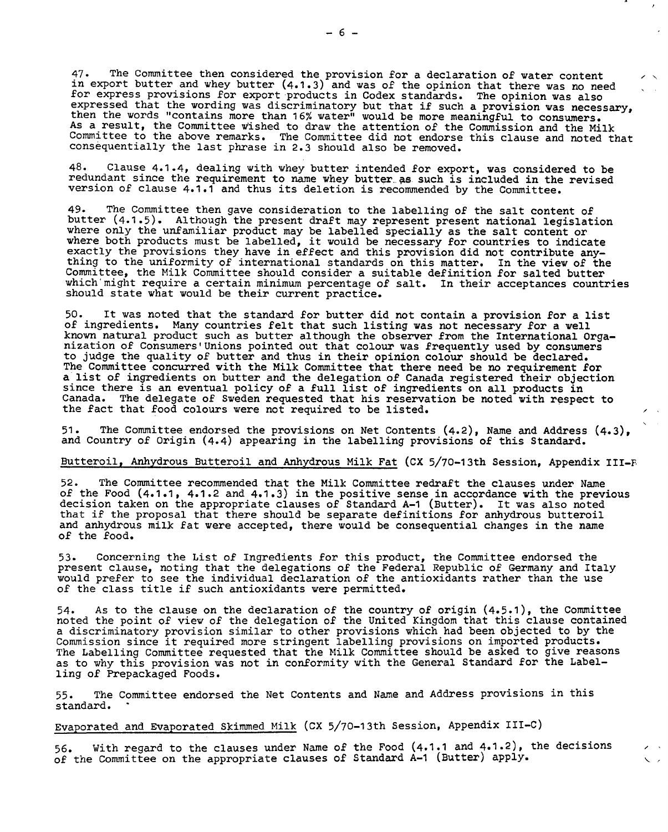The Committee then considered the provision for a declaration of water content  $47.$ in export butter and whey butter (4.1.3) and was of the opinion that there was no need for express provisions for export products in Codex standards. The opinion was also expressed that the wording was discriminatory but that if such a provision was necessary, then the words "contains more than 16% water" would be more meaningful to consumers. As a result, the Committee wished to draw the attention of the Commission and the Milk Committee to the above remarks. The Committee did not endorse this clause and noted that consequentially the last phrase in 2.3 should also be removed.

48. Clause 4.1.4, dealing with whey butter intended for export, was considered to be redundant since the requirement to name whey butter as such is included in the revised version of clause 4.1.1 and thus its deletion is recommended by the Committee.

49. The Committee then gave consideration to the labelling of the salt content of butter (4.1.5). Although the present draft may represent present national legislation where only the unfamiliar product may be labelled specially as the salt content or where both products must be labelled, it would be necessary for countries to indicate exactly the provisions they have in effect and this provision did not contribute anything to the uniformity of international standards on this matter. In the view of the Committee, the Milk Committee should consider a suitable definition for salted butter which'might require a certain minimum percentage of salt. In their acceptances countries should state what would be their current practice.

50. It was noted that the standard for butter did not contain a provision for a list of ingredients. Many countries felt that such listing was not necessary for a well known natural product such as butter although the observer from the International Organization of Consumers'Unions pointed out that colour was frequently used by consumers to judge the quality of butter and thus in their opinion colour should be declared. The Committee concurred with the Milk Committee that there need be no requirement for a list of ingredients on butter and the delegation of Canada registered their objection since there is an eventual policy of a full list of ingredients on all products in Canada. The delegate of Sweden requested that his reservation be noted with respect to the fact that food colours were not required to be listed.

51. The Committee endorsed the provisions on Net Contents (4.2), Name and Address (4.3), and Country of Origin (4.4) appearing in the labelling provisions of this Standard.

r

r ~

### Butteroil, Anhydrous Butteroil and Anhydrous Milk Fat (CX 5/70-13th Session, Appendix III-F

The Committee recommended that the Milk Committee redraft the clauses under Name of the Food (4.1.1, 4.1.2 and 4.1.3) in the positive sense in accordance with the previous decision taken on the appropriate clauses of Standard A-1 (Butter). It was also noted that if the proposal that there should be separate definitions for anhydrous butteroil and anhydrous milk fat were accepted, there would be consequential changes in the name of the food.

Concerning the List of Ingredients for this product, the Committee endorsed the present clause, noting that the delegations of the Federal Republic of Germany and Italy would prefer to see the individual declaration of the antioxidants rather than the use of the class title if such antioxidants were permitted.

As to the clause on the declaration of the country of origin (4.5.1), the Committee noted the point of view of the delegation of the United Kingdom that this clause contained a discriminatory provision similar to other provisions which had been objected to by the Commission since it required more stringent labelling provisions on imported products. The Labelling Committee requested that the Milk Committee should be asked to give reasons as to why this provision was not in conformity with the General Standard for the Labelling of Prepackaged Foods.

The Committee endorsed the Net Contents and Name and Address provisions in this 55. standard.

Evaporated and Evaporated Skimmed Milk (CX 5/70-13th Session, Appendix III-C)

With regard to the clauses under Name of the Food (4.1.1 and 4.1.2), the decisions 56. of the Committee on the appropriate clauses of Standard A-1 (Butter) apply.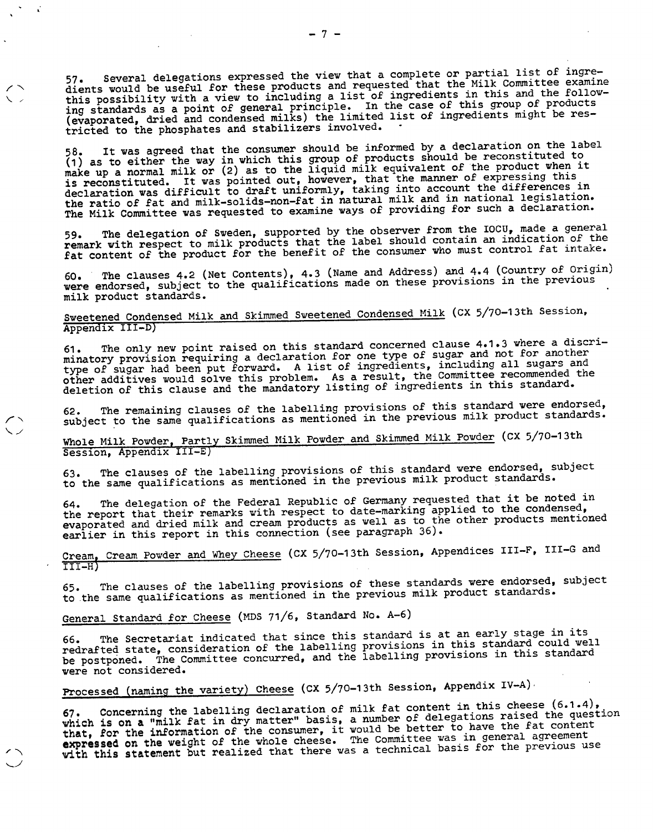Several delegations expressed the view that a complete or partial list of ingredients would be useful for these products and requested that the Milk Committee examine this possibility with a view to including a list of ingredients in this and the following standards as a point of general principle. In the case of this group of products (evaporated, dried and condensed milks) the limited list of ingredients might be restricted to the phosphates and stabilizers involved.

It was agreed that the consumer should be informed by a declaration on the label  $(1)$  as to either the way in which this group of products should be reconstituted to make up a normal milk or (2) as to the liquid milk equivalent of the product when it is reconstituted. It was pointed out, however, that the manner of expressing this declaration was difficult to draft uniformly, taking into account the differences in the ratio of fat and milk-solids-non-fat in natural milk and in national legislation. The Milk Committee was requested to examine ways of providing for such a declaration.

The delegation of Sweden, supported by the observer from the IOCU, made a general remark with respect to milk products that the label should contain an indication of the fat content of the product for the benefit of the consumer who must control fat intake.

The clauses 4.2 (Net Contents), 4.3 (Name and Address) and 4.4 (Country of Origin) 60. The clauses 4.2 (Net Contents), 4.3 (wame and Address) and 4.4 (country or  $\frac{1}{2}$ , were endorsed, subject to the qualifications made on these provisions in the previous milk product standards.

### Sweetened Condensed Milk and Skimmed Sweetened Condensed Milk (CX 5/70-13th Session, Appendix III-D)

The only new point raised on this standard concerned clause 4.1.3 where a discriminatory provision requiring a declaration for one type of sugar and not for another type of sugar had been put forward. A list of ingredients, including all sugars and other additives would solve this problem. As a result, the Committee recommended the deletion of this clause and the mandatory listing of ingredients in this standard.

The remaining clauses of the labelling provisions of this standard were endorsed, subject to the same qualifications as mentioned in the previous milk product standards. 62.

Whole Milk Powder, Partly Skimmed Milk Powder and Skimmed Milk Powder (CX 5/70-13th Session, Appendix III-E)

The clauses of the labelling provisions of this standard were endorsed, subject to the same qualifications as mentioned in the previous milk product standards.

The delegation of the Federal Republic of Germany requested that it be noted in the report that their remarks with respect to date-marking applied to the condensed, evaporated and dried milk and cream products as well as to the other products mentioned earlier in this report in this connection (see paragraph 36).

Cream, Cream Powder and Whey Cheese (CX 5/70-13th Session, Appendices III-F, III-G and III-H)

The clauses of the labelling provisions of these standards were endorsed, subject 65. The clauses of the labelling provisions or these standards were enableed, to the same qualifications as mentioned in the previous milk product standards.

General Standard for Cheese (MDS 71/6, Standard No. A-6)

The Secretariat indicated that since this standard is at an early stage in its redrafted state, consideration of the labelling provisions in this standard could well be postponed. The Committee concurred, and the labelling provisions in this standard were not considered.

Processed (naming the variety) Cheese (CX 5/70-13th Session, Appendix IV-A)

Concerning the labelling declaration of milk fat content in this cheese (0.1.4), which is on a "milk fat in dry matter" basis, a number of delegations raised the question<br>which is on a "milk fat in dry matter" basis, a number of delegations raised the question **that, for the information** of the consumer, it would be better to have the fat content **expressed on the weight of the** whole cheese. The Committee was in general agreement with this statement but realized that there was a technical basis for the previous use

 $\sim$   $\alpha$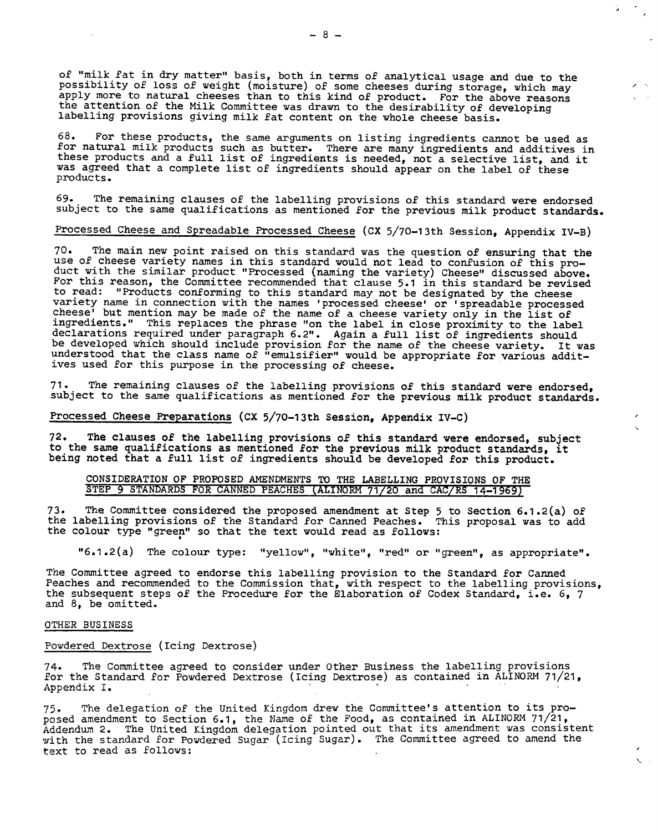of "milk fat in dry matter" basis, both in terms of analytical usage and due to the possibility of loss of weight (moisture) of some cheeses during storage, which may apply more to natural cheeses than to this kind of product. For the above reasons the attention of the Milk Committee was drawn to the desirability of developing labelling provisions giving milk fat content on the whole cheese basis.

68. For these products, the same arguments on listing ingredients cannot be used as for natural milk products such as butter. There are many ingredients and additives in these products and a full list of ingredients is needed, not a selective list, and it was agreed that a complete list of ingredients should appear on the label of these products.

69. The remaining clauses of the labelling provisions of this standard were endorsed subject to the same qualifications as mentioned for the previous milk product standards.

### Processed Cheese and Spreadable Processed Cheese (CX 5/70-13th Session, Appendix IV-B)

70. The main new point raised on this standard was the question of ensuring that the use of cheese variety names in this standard would not lead to confusion of this product with the similar product "Processed (naming the variety) Cheese" discussed above. For this reason, the Committee recommended that clause 5.1 in this standard be revised to read: "Products conforming to this standard may not be designated by the cheese variety name in connection with the names 'processed cheese' or 'spreadable processed cheese' but mention may be made of the name of a cheese variety only in the list of ingredients." This replaces the phrase "on the label in close proximity to the label declarations required under paragraph 6.2". Again a full list of ingredients should be developed which should include provision for the name of the cheese variety. It was understood that the class name of "emulsifier" would be appropriate for various additives used for this purpose in the processing of cheese.

The remaining clauses of the labelling provisions of this standard were endorsed, 71. subject to the same qualifications as mentioned for the previous milk product standards.

**Processed Cheese Preparations (CX 5/70-13th Session, Appendix IV-C)** 

72. **The clauses of the labelling provisions of this standard were endorsed, subject to the same qualifications as mentioned for the previous milk product standards, it being noted that a full list of ingredients should be developed for this product.** 

#### **CONSIDERATION OF PROPOSED AMENDMENTS TO THE LABELLING PROVISIONS OF THE STEP 9 STANDARDS FOR CANNED PEACHES (ALINORM 71/20 and CAC/RS 14-1969)**

The Committee considered the proposed amendment at Step 5 to Section 6.1.2(a) of the labelling provisions of the Standard for Canned Peaches. This proposal was to add the colour type "green" so that the text would read as follows:

"6.1.2(a) The colour type: "yellow", "white", "red" or "green", as appropriate".

The Committee agreed to endorse this labelling provision to the Standard for Canned Peaches and recommended to the Commission that, with respect to the labelling provisions, the subsequent steps of the Procedure for the Elaboration of Codex Standard, i.e. 6, 7 and 8, be omitted.

#### OTHER BUSINESS

#### Powdered Dextrose (Icing Dextrose)

The Committee agreed to consider under Other Business the labelling provisions for the Standard for Powdered Dextrose (Icing Dextrose) as contained in ALINORM 71/21, Appendix I.

The delegation of the United Kingdom drew the Committee's attention to its pro-75. posed amendment to Section 6.1, the Name of the Food, as contained in ALINORM 71/21, Addendum 2. The United Kingdom delegation pointed out that its amendment was consistent with the standard for Powdered Sugar (Icing Sugar). The Committee agreed to amend the text to read as follows: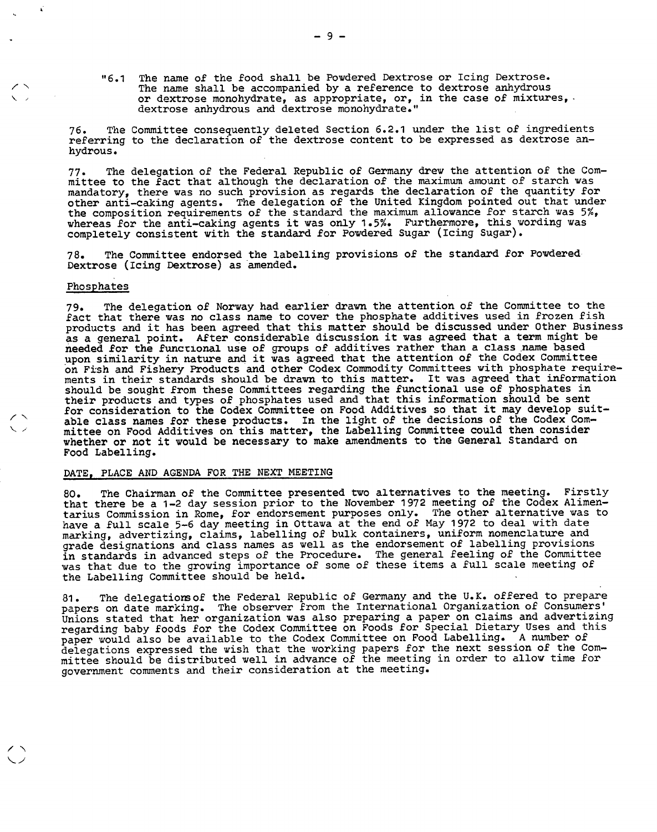"6.1 The name of the food shall be Powdered Dextrose or Icing Dextrose. The name shall be accompanied by a reference to dextrose anhydrous or dextrose monohydrate, as appropriate, or, in the case of mixtures, dextrose anhydrous and dextrose monohydrate."

The Committee consequently deleted Section 6.2.1 under the list of ingredients 76. referring to the declaration of the dextrose content to be expressed as dextrose anhydrous.

The delegation of the Federal Republic of Germany drew the attention of the Com- $77$ mittee to the fact that although the declaration of the maximum amount of starch was mandatory, there was no such provision as regards the declaration of the quantity for other anti-caking agents. The delegation of the United Kingdom pointed out that under the composition requirements of the standard the maximum allowance for starch was 5%, whereas for the anti-caking agents it was only 1.5%. Furthermore, this wording was completely consistent with the standard for Powdered Sugar (Icing Sugar).

The Committee endorsed the labelling provisions of the standard for Powdered  $78.$ Dextrose (Icing Dextrose) as amended.

#### Phosphates

The delegation of Norway had earlier drawn the attention of the Committee to the  $79.$ fact that there was no class name to cover the phosphate additives used in frozen fish products and it has been agreed that this matter should be discussed under Other Business as a general point. After considerable discussion it was agreed that a term might be needed for the functional use of groups of additives rather than a class name based upon similarity in nature and it was agreed that the attention of the Codex Committee on Fish and Fishery Products and other Codex Commodity Committees with phosphate requirements in their standards should be drawn to this matter. It was agreed that information should be sought from these Committees regarding the functional use of phosphates in their products and types of phosphates used and that this information should be sent for consideration to the Codex Committee on Food Additives so that it may develop suitable class names for these products. In the light of the decisions of the Codex Committee on Food Additives on this matter, the Labelling Committee could then consider whether or not it would be necessary to make amendments to the General Standard on Food Labelling.

### DATE, PLACE AND AGENDA FOR THE NEXT MEETING

The Chairman of the Committee presented two alternatives to the meeting. Firstly  $80$ that there be a 1-2 day session prior to the November 1972 meeting of the Codex Alimentarius Commission in Rome, for endorsement purposes only. The other alternative was to have a full scale 5-6 day meeting in Ottawa at the end of May 1972 to deal with date marking, advertizing, claims, labelling of bulk containers, uniform nomenclature and grade designations and class names as well as the endorsement of labelling provisions in standards in advanced steps of the Procedure. The general feeling of the Committee was that due to the growing importance of some of these items a full scale meeting of the Labelling Committee should be held.

The delegations of the Federal Republic of Germany and the U.K. offered to prepare  $81$ papers on date marking. The observer from the International Organization of Consumers' Unions stated that her organization was also preparing a paper on claims and advertizing regarding baby foods for the Codex Committee on Foods for Special Dietary Uses and this paper would also be available to the Codex Committee on Food Labelling. A number of delegations expressed the wish that the working papers for the next session of the Committee should be distributed well in advance of the meeting in order to allow time for government comments and their consideration at the meeting.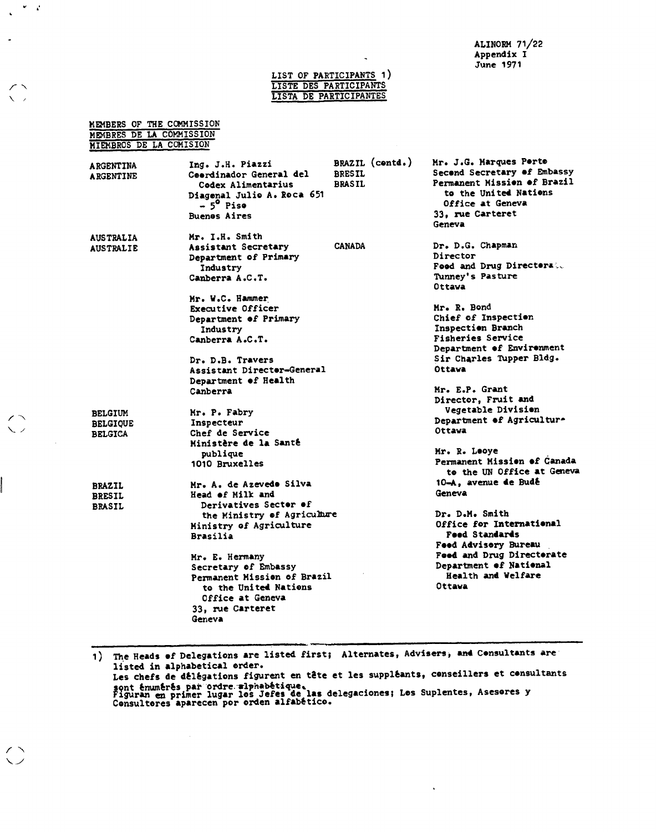**ALINORM 71/22 Appendix I June 1971** 

#### **LIST OF PARTICIPANTS1) LISTE DES PARTICIPANTS LISTA DE PARTICIPANTES**

 $\mathcal{C}=\mathcal{C}$  $\ddot{\phantom{a}}$ 

 $\sqrt{2}$ 

 $\begin{pmatrix} 1 \\ 2 \end{pmatrix}$ 

 $\bigcirc$ 

 $\sim$   $\sim$ 

| MEMBERS OF THE COMMISSION<br>MEMBRES DE LA COMMISSION<br>MIEMBROS DE LA COMISION |                                                                                                                                                 |                                                   |                                                                                                                                                                 |
|----------------------------------------------------------------------------------|-------------------------------------------------------------------------------------------------------------------------------------------------|---------------------------------------------------|-----------------------------------------------------------------------------------------------------------------------------------------------------------------|
| <b>ARGENTINA</b><br><b>ARGENTINE</b>                                             | Ing. J.H. Piazzi<br>Ceerdinador General del<br>Codex Alimentarius<br>Diagenal Julio A. Roca 651<br>- 5 <sup>0</sup> Pise<br><b>Buenes Aires</b> | BRAZIL (centd.)<br><b>BRESIL</b><br><b>BRASIL</b> | Mr. J.G. Marques Perte<br>Second Secretary of Embassy<br>Permanent Mission of Brazil<br>to the United Nations<br>Office at Geneva<br>33. rue Carteret<br>Geneva |
| <b>AUSTRALIA</b><br><b>AUSTRALIE</b>                                             | Mr. I.H. Smith<br>Assistant Secretary<br>Department of Primary<br>Industry<br>Canberra A.C.T.                                                   | <b>CANADA</b>                                     | Dr. D.G. Chapman<br>Director<br>Food and Drug Directorate<br>Tunney's Pasture<br>Ottava                                                                         |
|                                                                                  | Mr. W.C. Hammer<br><b>Executive Officer</b><br>Department of Primary<br>Industry<br>Canberra A.C.T.                                             |                                                   | Mr. R. Bond<br>Chief of Inspection<br>Inspection Branch<br><b>Fisheries Service</b><br>Department of Environment                                                |
|                                                                                  | Dr. D.B. Travers<br>Assistant Director-General<br>Department of Health<br>Canberra                                                              |                                                   | Sir Charles Tupper Bldg.<br>Ottava<br>Mr. E.P. Grant                                                                                                            |
| <b>BELGIUM</b><br><b>BELGIOUE</b>                                                | Mr. P. Fabry<br>Inspecteur                                                                                                                      |                                                   | Director. Fruit and<br>Vegetable Division<br>Department of Agriculture<br><b>Ottava</b>                                                                         |
| <b>BELGICA</b>                                                                   | Chef de Service<br>Ministère de la Santé<br>publique<br>1010 Bruxelles                                                                          |                                                   | Mr. R. Leove<br>Permanent Mission of Canada                                                                                                                     |
| <b>BRAZIL</b><br><b>BRESIL</b><br><b>BRASIL</b>                                  | Mr. A. de Azevedo Silva<br>Head of Milk and<br>Derivatives Sector of                                                                            |                                                   | to the UN Office at Geneva<br>10-A, avenue de Budé<br>Geneva                                                                                                    |
|                                                                                  | the Ministry of Agriculture<br>Ministry of Agriculture<br><b>Brasilia</b>                                                                       |                                                   | Dr. D.M. Smith<br>Office for International<br><b>Feed Standards</b><br>Feed Advisory Bureau                                                                     |
|                                                                                  | Mr. E. Hermany<br>Secretary of Embassy<br>Permanent Mission of Brazil<br>to the United Nations<br>Office at Geneva<br>33, rue Carteret          |                                                   | Feed and Drug Directorate<br>Department of National<br>Health and Welfare<br>Ottava                                                                             |
|                                                                                  | Geneva                                                                                                                                          |                                                   |                                                                                                                                                                 |

**1) The Heads of Delegations are listed first; Alternates, Advisers, and Consultants are listed in alphabetical order. Les chefs de délégations figurent en tète et les suppléants, conseillers et consultants**  sont énumérés par ordre <del>alphabé</del>tique.<br>Figuran en primer lugar los Jefes de las delegaciones; Los Suplentes, Asesores y<br>Consultores aparecen por orden alfabético.

 $\star$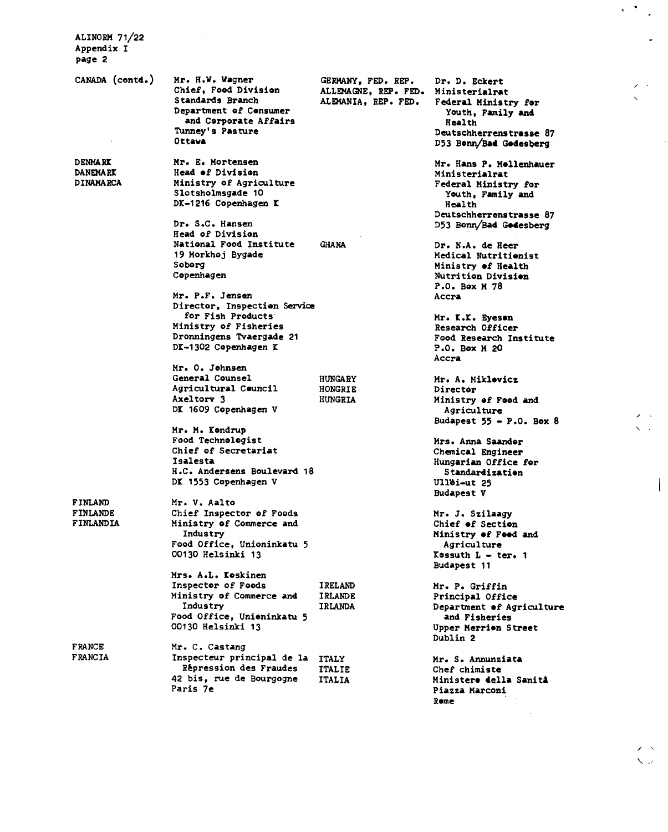**ALINORM 71/22 Appendix I page 2** 

**CANADA (contd.) Mr. H.W. Wagner Chief, Food Division Standards Branch Department of Consumer and Corporate Affairs Tunney's Pasture Ottawa GERMANY, FED. REP. Dr. D. Eckert ALLEMAGNE, REP. FED.**<br>ALEMANIA, REP. FED. **DENMARK DANEMARK DINAMARCA Mr. E. Mortensen Head of Division Ministry of Agriculture Slotsholmsgade 10 DK-1216 Copenhagen K Dr. S.C. Hansen Head of Division National Food Institute GHANA 19 Morkhoj Bygade Soborg Copenhagen Mr. P.F. Jensen Director, Inspection Service for Fish Products Ministry of Fisheries Dronningens Tvaergade 21 D1-1302 Copenhagen I Mr. 0. Johnsen General Counsel HUNGARY**<br> **Agricultural Council HONGRIE Agricultural Council HONGRIE**<br> **Axeltory 3** HUNGRIA Axeltory 3 **DI 1609 Copenhagen V Mr. M. Iondrup Food Technologist Chief of Secretariat Isalesta H.C. Andersens Boulevard 18 DI 1553 Copenhagen V Mr. V. Aalto Chief Inspector of Foods Ministry of Commerce and Industry Food Office, Unioninkatu 5 00130 Helsinki 13 Mrs. A.L. Ioskinen Inspector of Foods Bires IRELAND**<br> **Ministry of Commerce and BIRLANDE Ministry of Commerce and IRLANDE**  Industry **Food Office, Unioninkatu 5 00130 Helsinki 13 Mr. C. Castang Inspecteur principal de la ITALY Repression des Fraudes ITALIE FINLAND FINLANDE FINLANDIA FRANCE FRANCIA** 

42 bis, rue de Bourgogne

**Paris 7e** 

Federal Ministry for **Youth, Family and Health Deutschherrenstrasse 87 D53 Bonn/Bad Godesberg Mr. Hans P. Mollenhauer Ministerialrat Federal Ministry for Youth, Family and Health Deutschherrenstrasse 87 D53 Bonn/Bad Godesberg Dr. N.A. de Heer Medical Nutritionist Ministry of Health Nutrition Division P.O. Box M 78 Accra Mr. K.K. Eyeson Research Officer Food Research Institute P.O. Box M 20 Accra Mr. A. Miklovicz Director Ministry of Food and Agriculture Budapest 55 - P.O. Box 8 Mrs. Anna Saandor Chemical Engineer Hungarian Office for Standardization Ullbi-ut 25 Budapest V Mr. J. Szilaagy Chief of Section Ministry of Food and Agriculture Kossuth L - ter. 1 Budapest 11 Mr. P. Griffin Principal Office Department of Agriculture and Fisheries Upper Merri•n Street Dublin 2 Mr. S. Annunziata** 

**Chef chimiste Ministers della SanitA Piazza Marconi Rome**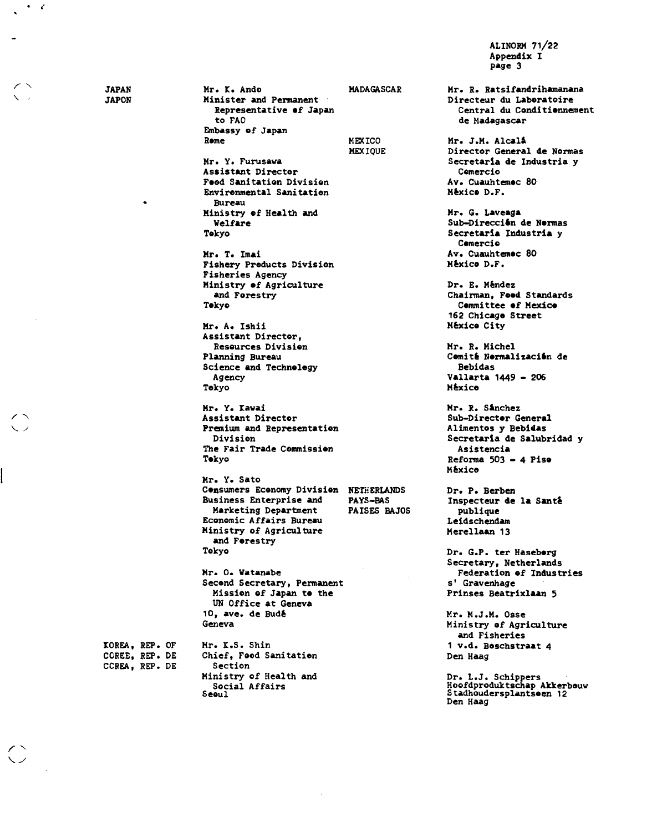**ALINORM 7122 Appendix I page 3** 

**JAPAN JAPON** 

 $\bullet$   $\bullet$ 

**IOREA, REP. OF COREE, REP. DE CCREA, REP. DE** 

**Seoul** 

**Mr. I. Ando MADAGASCAR Minister and Permanent Representative of Japan to FAO Embassy of Japan**  Rome **MEXICO MEXIQUE Mr. Y. Furusawa Assistant Director Food Sanitation Division Environmental Sanitation Bureau Ministry of Health and Welfare Tokyo Mr. T. Imai Fishery Products Division Fisheries Agency Ministry of Agriculture and Forestry Tokyo Mr. A. Ishii Assistant Director, Resources Division Planning Bureau Science and Technology Agency Tokyo Mr. Y. lavai Assistant Director Premium and Representation Division The Fair Trade Commission Tokyo Mr. Y. Sato Consumers Economy Division NETHERLANDS Business Enterprise and PAYS-BAS Marketing Department Economic Affairs Bureau Ministry of Agriculture and Forestry Tokyo Mr. O. Watanabe Second Secretary, Permanent Mission of Japan to the UN Office at Geneva 10, ave. de Budé Geneva Mr. K.S. Shin Chief, Food Sanitation Section Ministry of Health and Social Affairs** 

**Mr. R. Ratsifandrihamanana Directeur du Laboratoire Central du Conditionnement de Madagascar Mr. J.M. Alcalá Director General de Normas Secretaria de Industria y Comercio Av. Cuauhtemoc 80 México D.F. Mr. G. Laveaga**  Sub-Direccion de Normas **Secretaria Industria y Comercio Av. Cuauhtemoc 80 México D.F. Dr. E. Méndez Chairman, Food Standards Committee of Mexico 162 Chicago Street México City Mr. R. Michel**  Comité Normalización de **Bebidas Vallarta 1449 - 206 México Mr. R. S&nchez Sub-Director General Alimentos y Bebidas Secretaria de Salubridad y Asistencia Reforma 503 - 4 Piso México Dr. P. Berben Inspecteur de la Santé publique Leidschendam Merellaan 13 Dr. G.P. ter Haseborg Secretary, Netherlands Federation of Industries s' Gravenhage Prinses Beatrixlaan 5 Mr. M.J.M. Osse Ministry of Agriculture and Fisheries 1 v.d. Boschstraat 4 Den Haag Dr. L.J. Schippers Hoofdproduktschap Akkerbouw Stadhoudersplantsoen 12 Den Haag**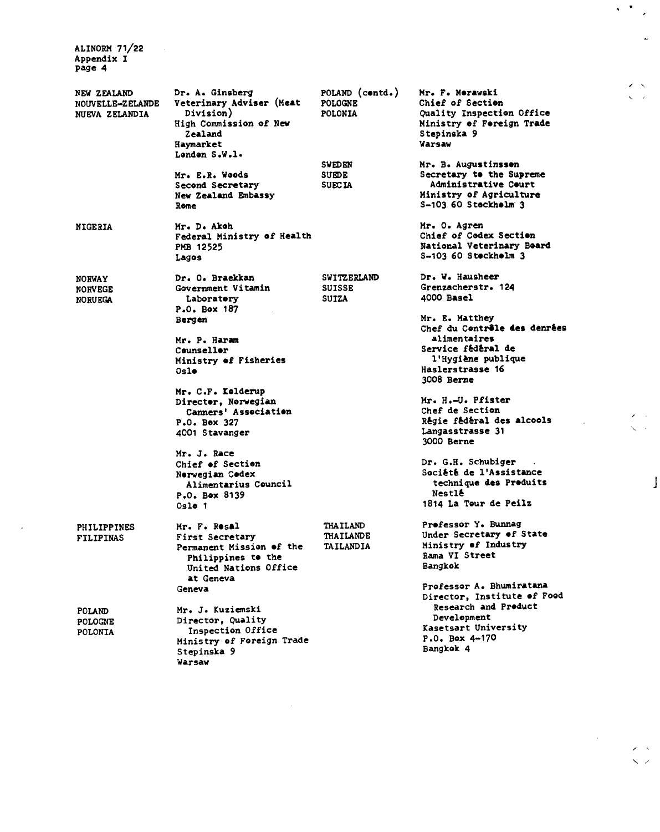**ALINORM 71/22 Appendix I page 4** 

 $\mathcal{L}_{\text{eff}}$ 

| NEW ZEALAND<br>NOUVELLE-ZELANDE<br>NUEVA ZELANDIA | Dr. A. Ginsberg<br>Veterinary Adviser (Meat<br>Division)<br>High Commission of New<br>Zealand<br>Haymarket<br>London S.W.l. | POLAND (centd.)<br><b>POLOGNE</b><br><b>POLONIA</b>     | Mr. F. Merawski<br>Chief of Section<br>Quality Inspection Office<br>Ministry of Foreign Trade<br>Stepinska 9<br>Warsaw                                       |
|---------------------------------------------------|-----------------------------------------------------------------------------------------------------------------------------|---------------------------------------------------------|--------------------------------------------------------------------------------------------------------------------------------------------------------------|
|                                                   | Mr. E.R. Woods<br>Second Secretary<br>New Zealand Embassy<br>Rome                                                           | <b>SWEDEN</b><br><b>SUEDE</b><br><b>SUECIA</b>          | Mr. B. Augustinssen<br>Secretary to the Supreme<br><b>Administrative Ceurt</b><br>Ministry of Agriculture<br>S-103 60 Stockholm 3                            |
| <b>NIGERIA</b>                                    | Mr. D. Akoh<br>Federal Ministry of Health<br>PMB 12525<br>Lagos                                                             |                                                         | Mr. O. Agren<br>Chief of Codex Section<br>National Veterinary Board<br>S-103 60 Steckhelm 3                                                                  |
| <b>NORWAY</b><br><b>NORVEGE</b><br><b>NORUEGA</b> | Dr. O. Braekkan<br>Government Vitamin<br>Laboratory<br>P.O. Box 187<br>Bergen                                               | <b>SWITZERLAND</b><br><b>SUISSE</b><br><b>SUIZA</b>     | Dr. W. Hausheer<br>Grenzacherstr. 124<br>4000 Basel<br>Mr. E. Matthey                                                                                        |
|                                                   | Mr. P. Haram<br>Counseller<br>Ministry of Fisheries<br>Oslo                                                                 |                                                         | Chef du Contrêle des denrées<br>alimentaires<br>Service fédéral de<br>l'Hygiène publique<br>Haslerstrasse 16<br>3008 Berne                                   |
|                                                   | Mr. C.F. Kolderup<br>Director. Norwegian<br>Canners' Association<br>$P.0.$ Box 327<br>4001 Stavanger                        |                                                         | Mr. H.-U. Pfister<br>Chef de Section<br>Régie fédéral des alcools<br>Langasstrasse 31<br>3000 Berne                                                          |
|                                                   | Mr. J. Race<br>Chief of Section<br>Nerwegian Cedex<br>Alimentarius Council<br>P.O. Box 8139<br>Oslo <sub>1</sub>            |                                                         | Dr. G.H. Schubiger<br>Société de l'Assistance<br>technique des Produits<br>Nestlé<br>1814 La Tour de Peilz                                                   |
| <b>PHILIPPINES</b><br><b>FILIPINAS</b>            | Mr. F. Resal<br>First Secretary<br>Permanent Mission of the<br>Philippines to the<br>United Nations Office<br>at Geneva     | <b>THAILAND</b><br><b>THAILANDE</b><br><b>TAILANDIA</b> | Prefessor Y. Bunnag<br>Under Secretary of State<br>Ministry of Industry<br>Rama VI Street<br>Bangkok                                                         |
| POLAND<br><b>POLOGNE</b><br><b>POLONTA</b>        | Geneva<br>Mr. J. Kuziemski<br>Director, Quality<br>Inspection Office<br>Ministry of Foreign Trade<br>Stepinska 9<br>Warsaw  |                                                         | Professor A. Bhumiratana<br>Director, Institute of Food<br><b>Research and Product</b><br>Development<br>Kasetsart University<br>P.O. Box 4-170<br>Bangkok 4 |

 $\hat{\mathbf{r}}$ 

# $\label{eq:2} \frac{1}{\sqrt{2}}\int_{0}^{\infty}\frac{1}{\sqrt{2\pi}}\left(\frac{1}{\sqrt{2\pi}}\right)^{2}d\mu_{\rm{eff}}\,d\mu_{\rm{eff}}$  $~^{\prime}$   $~^{\prime}$

 $\mathbf{A}^{\text{max}}$  $\overline{\phantom{a}}$ 

> $\overline{\phantom{a}}$  $\ddot{\phantom{0}}$  $\overline{\phantom{a}}$

 $\ddot{\phantom{a}}$ 

 $\hat{\mathcal{A}}$ 

 $\mathbf{r}$ 

 $\overline{1}$ 

 $\ddot{\phantom{a}}$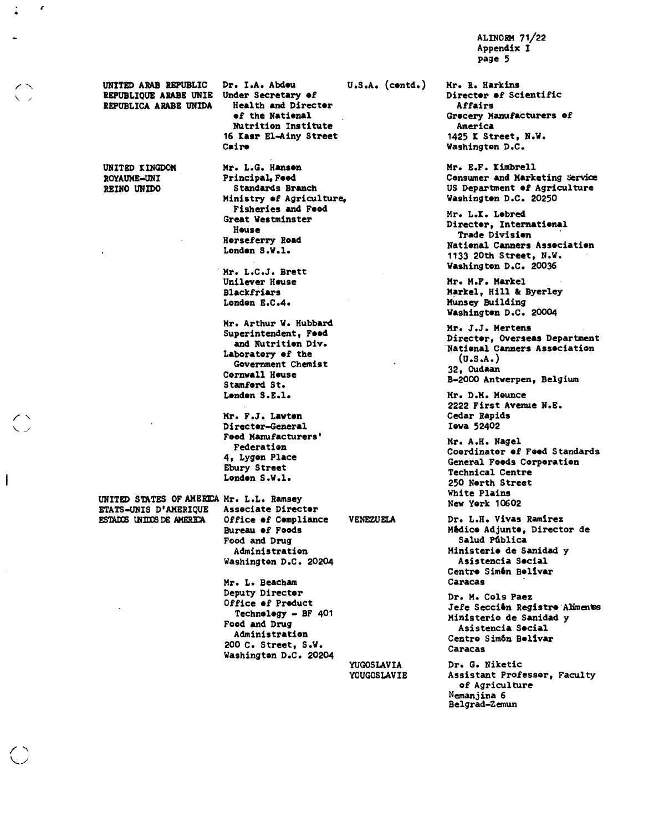**ALINORM 71/22 Appendix I page 5** 

**UNITED ARAB REPUBLIC Dr. I.A. Abdou REPUBLIQUE ARABE UNIE Under Secretary of REPUBLICA ARABE UNIDA** 

**UNITED XINGDOM ROYAUME-UNI REINO UNIDO** 

c

**of the National Nutrition Institute 16 Xasr El-Ainy Street Cairo** 

**Mr. L.G. Hanson Principal, Food Standards Branch Ministry of Agriculture, Fisheries and Food Great Westminster House Horseferry Road London S.W.l.** 

**Mr. L.C.J. Brett Unilever House Blackfriars London E.C.4.** 

**Mr. Arthur W. Hubbard Superintendent, Food and Nutrition Div.**  Laboratory of the **Government Chemist Cornwall House Stamford St. London S.E.l.** 

**Mr. F.J. Lawton Director-General Food Manufacturers' Federation 4, Lygon Place Ebury Street London S.W.1.** 

**UNITED STATES OF AMERICA Mr. L.L. Ramsey<br>ETATS-UNIS D'AMERIQUE Associate Director ETATS-UNIS D'AMERIQUE<br>ESTADOS UNIDOS DE AMERICA** 

**ESTA UUM S DE AMERHA Office of Compliance VENEZUELA Bureau of Foods Food and Drug Administration Washington D.C. 20204** 

**Mr. L. Beacham Deputy Director Office of Product Technology - BF 401 Food and Drug Administration 200 C. Street, S.W. Washington D.C. 20204** 

**YUGOSLAVIA YOUGOSLAVIE** 

**U.S.A. (contd.) Mr. R. Harkins** 

**Director of Scientific Affairs Grocery Manufacturers of America 1425 X Street, N.W. Washington D.C.** 

**Mr. E.F. Ximbrell Consumer and Marketing Service US Department of Agriculture Washington D.C. 20250** 

**Mr. L.X. Lobred Director, International Trade Division National Canners Association 1133 20th Street, N.W. Washington D.C. 20036** 

**Mr. M.F. Markel Markel, Hill 8 Byerley Munsey Building Washington D.C. 20004** 

**Mr. J.J. Mertens Director, Overseas Department National Canners Association (U.S.A.) 32, Oudaan B-2000 Antwerpen, Belgium** 

**Mr. D.H. Mounce 2222 First Avenue N.E. Cedar Rapids Iowa 52402** 

**Mr. A.H. Nagel Coordinator of Food Standards General Foods Corporation Technical Centre 250 North Street White Plains New York 10602** 

**Dr. L.H. Vivas Ramirez Medico Adjunto, Director de Salud Pública Ministerio de Sanidad y Asistencia Social Centro Simón Bolivar Caracas** 

**Dr. M. Cols Paez Jefe Seccién Registro• Aliments Ministerio de Sanidad y Asistencia Social Centro Simón Bolivar Caracas** 

**Dr. G. Niketic Assistant Professor, Faculty of Agriculture Nemanjina 6 Belgrad-Zemun** 

 $\overline{\phantom{a}}$